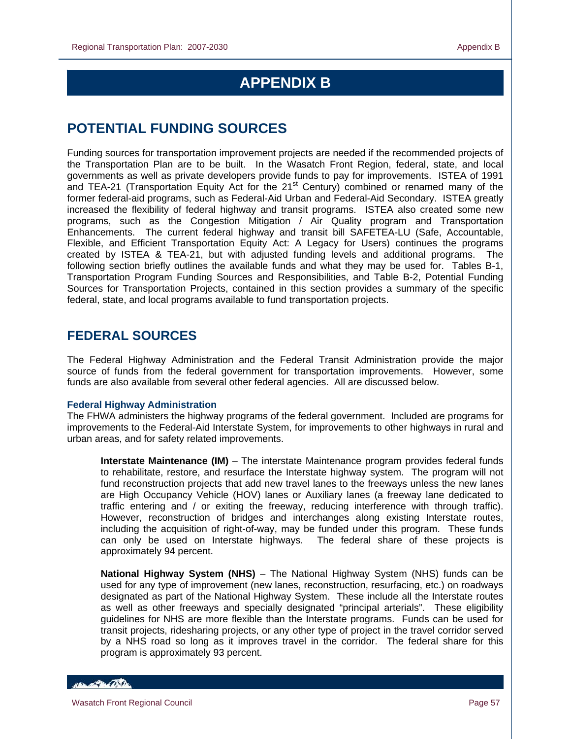# **APPENDIX B**

# **POTENTIAL FUNDING SOURCES**

Funding sources for transportation improvement projects are needed if the recommended projects of the Transportation Plan are to be built. In the Wasatch Front Region, federal, state, and local governments as well as private developers provide funds to pay for improvements. ISTEA of 1991 and TEA-21 (Transportation Equity Act for the 21<sup>st</sup> Century) combined or renamed many of the former federal-aid programs, such as Federal-Aid Urban and Federal-Aid Secondary. ISTEA greatly increased the flexibility of federal highway and transit programs. ISTEA also created some new programs, such as the Congestion Mitigation / Air Quality program and Transportation Enhancements. The current federal highway and transit bill SAFETEA-LU (Safe, Accountable, Flexible, and Efficient Transportation Equity Act: A Legacy for Users) continues the programs created by ISTEA & TEA-21, but with adjusted funding levels and additional programs. The following section briefly outlines the available funds and what they may be used for. Tables B-1, Transportation Program Funding Sources and Responsibilities, and Table B-2, Potential Funding Sources for Transportation Projects, contained in this section provides a summary of the specific federal, state, and local programs available to fund transportation projects.

## **FEDERAL SOURCES**

The Federal Highway Administration and the Federal Transit Administration provide the major source of funds from the federal government for transportation improvements. However, some funds are also available from several other federal agencies. All are discussed below.

#### **Federal Highway Administration**

The FHWA administers the highway programs of the federal government. Included are programs for improvements to the Federal-Aid Interstate System, for improvements to other highways in rural and urban areas, and for safety related improvements.

**Interstate Maintenance (IM)** – The interstate Maintenance program provides federal funds to rehabilitate, restore, and resurface the Interstate highway system. The program will not fund reconstruction projects that add new travel lanes to the freeways unless the new lanes are High Occupancy Vehicle (HOV) lanes or Auxiliary lanes (a freeway lane dedicated to traffic entering and / or exiting the freeway, reducing interference with through traffic). However, reconstruction of bridges and interchanges along existing Interstate routes, including the acquisition of right-of-way, may be funded under this program. These funds can only be used on Interstate highways. The federal share of these projects is approximately 94 percent.

**National Highway System (NHS)** – The National Highway System (NHS) funds can be used for any type of improvement (new lanes, reconstruction, resurfacing, etc.) on roadways designated as part of the National Highway System. These include all the Interstate routes as well as other freeways and specially designated "principal arterials". These eligibility guidelines for NHS are more flexible than the Interstate programs. Funds can be used for transit projects, ridesharing projects, or any other type of project in the travel corridor served by a NHS road so long as it improves travel in the corridor. The federal share for this program is approximately 93 percent.

**Control Date**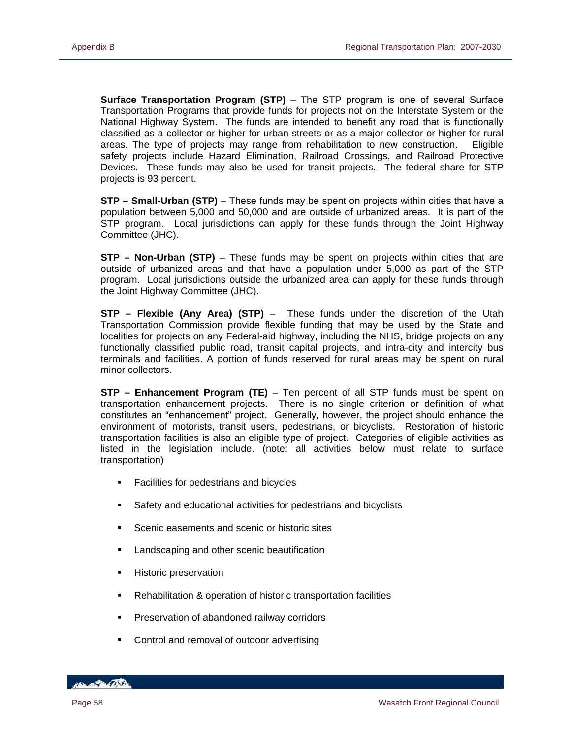**Surface Transportation Program (STP)** – The STP program is one of several Surface Transportation Programs that provide funds for projects not on the Interstate System or the National Highway System. The funds are intended to benefit any road that is functionally classified as a collector or higher for urban streets or as a major collector or higher for rural areas. The type of projects may range from rehabilitation to new construction. Eligible safety projects include Hazard Elimination, Railroad Crossings, and Railroad Protective Devices. These funds may also be used for transit projects. The federal share for STP projects is 93 percent.

**STP – Small-Urban (STP)** – These funds may be spent on projects within cities that have a population between 5,000 and 50,000 and are outside of urbanized areas. It is part of the STP program. Local jurisdictions can apply for these funds through the Joint Highway Committee (JHC).

**STP – Non-Urban (STP)** – These funds may be spent on projects within cities that are outside of urbanized areas and that have a population under 5,000 as part of the STP program. Local jurisdictions outside the urbanized area can apply for these funds through the Joint Highway Committee (JHC).

**STP – Flexible (Any Area) (STP)** – These funds under the discretion of the Utah Transportation Commission provide flexible funding that may be used by the State and localities for projects on any Federal-aid highway, including the NHS, bridge projects on any functionally classified public road, transit capital projects, and intra-city and intercity bus terminals and facilities. A portion of funds reserved for rural areas may be spent on rural minor collectors.

**STP – Enhancement Program (TE)** – Ten percent of all STP funds must be spent on transportation enhancement projects. There is no single criterion or definition of what constitutes an "enhancement" project. Generally, however, the project should enhance the environment of motorists, transit users, pedestrians, or bicyclists. Restoration of historic transportation facilities is also an eligible type of project. Categories of eligible activities as listed in the legislation include. (note: all activities below must relate to surface transportation)

- Facilities for pedestrians and bicycles
- Safety and educational activities for pedestrians and bicyclists
- Scenic easements and scenic or historic sites
- Landscaping and other scenic beautification
- **Historic preservation**
- Rehabilitation & operation of historic transportation facilities
- **Preservation of abandoned railway corridors**
- **•** Control and removal of outdoor advertising

**BELLEVILLE**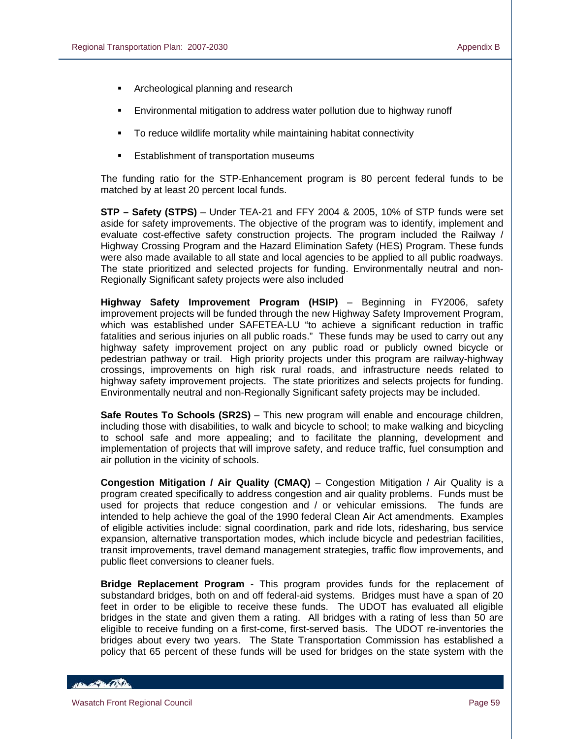- Archeological planning and research
- Environmental mitigation to address water pollution due to highway runoff
- To reduce wildlife mortality while maintaining habitat connectivity
- Establishment of transportation museums

The funding ratio for the STP-Enhancement program is 80 percent federal funds to be matched by at least 20 percent local funds.

**STP – Safety (STPS)** – Under TEA-21 and FFY 2004 & 2005, 10% of STP funds were set aside for safety improvements. The objective of the program was to identify, implement and evaluate cost-effective safety construction projects. The program included the Railway / Highway Crossing Program and the Hazard Elimination Safety (HES) Program. These funds were also made available to all state and local agencies to be applied to all public roadways. The state prioritized and selected projects for funding. Environmentally neutral and non-Regionally Significant safety projects were also included

**Highway Safety Improvement Program (HSIP)** – Beginning in FY2006, safety improvement projects will be funded through the new Highway Safety Improvement Program, which was established under SAFETEA-LU "to achieve a significant reduction in traffic fatalities and serious injuries on all public roads." These funds may be used to carry out any highway safety improvement project on any public road or publicly owned bicycle or pedestrian pathway or trail. High priority projects under this program are railway-highway crossings, improvements on high risk rural roads, and infrastructure needs related to highway safety improvement projects. The state prioritizes and selects projects for funding. Environmentally neutral and non-Regionally Significant safety projects may be included.

**Safe Routes To Schools (SR2S)** – This new program will enable and encourage children, including those with disabilities, to walk and bicycle to school; to make walking and bicycling to school safe and more appealing; and to facilitate the planning, development and implementation of projects that will improve safety, and reduce traffic, fuel consumption and air pollution in the vicinity of schools.

**Congestion Mitigation / Air Quality (CMAQ)** – Congestion Mitigation / Air Quality is a program created specifically to address congestion and air quality problems. Funds must be used for projects that reduce congestion and / or vehicular emissions. The funds are intended to help achieve the goal of the 1990 federal Clean Air Act amendments. Examples of eligible activities include: signal coordination, park and ride lots, ridesharing, bus service expansion, alternative transportation modes, which include bicycle and pedestrian facilities, transit improvements, travel demand management strategies, traffic flow improvements, and public fleet conversions to cleaner fuels.

**Bridge Replacement Program** - This program provides funds for the replacement of substandard bridges, both on and off federal-aid systems. Bridges must have a span of 20 feet in order to be eligible to receive these funds. The UDOT has evaluated all eligible bridges in the state and given them a rating. All bridges with a rating of less than 50 are eligible to receive funding on a first-come, first-served basis. The UDOT re-inventories the bridges about every two years. The State Transportation Commission has established a policy that 65 percent of these funds will be used for bridges on the state system with the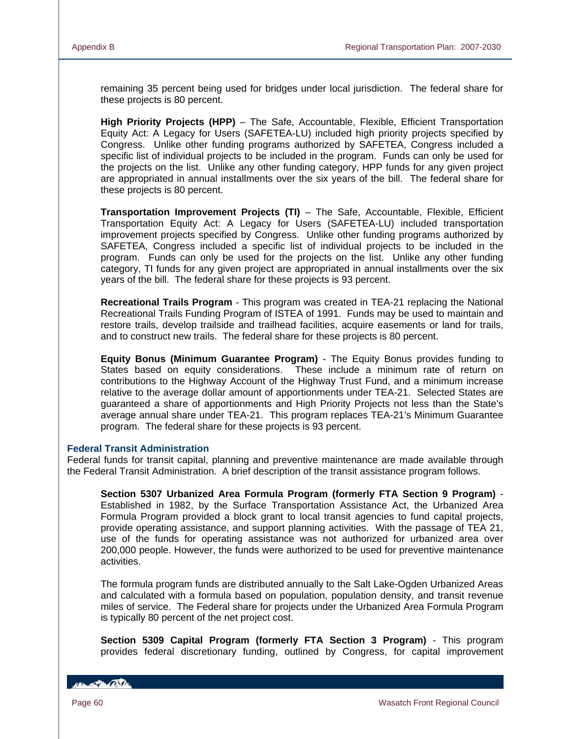remaining 35 percent being used for bridges under local jurisdiction. The federal share for these projects is 80 percent.

**High Priority Projects (HPP)** – The Safe, Accountable, Flexible, Efficient Transportation Equity Act: A Legacy for Users (SAFETEA-LU) included high priority projects specified by Congress. Unlike other funding programs authorized by SAFETEA, Congress included a specific list of individual projects to be included in the program. Funds can only be used for the projects on the list. Unlike any other funding category, HPP funds for any given project are appropriated in annual installments over the six years of the bill. The federal share for these projects is 80 percent.

**Transportation Improvement Projects (TI)** – The Safe, Accountable, Flexible, Efficient Transportation Equity Act: A Legacy for Users (SAFETEA-LU) included transportation improvement projects specified by Congress. Unlike other funding programs authorized by SAFETEA, Congress included a specific list of individual projects to be included in the program. Funds can only be used for the projects on the list. Unlike any other funding category, TI funds for any given project are appropriated in annual installments over the six years of the bill. The federal share for these projects is 93 percent.

**Recreational Trails Program** - This program was created in TEA-21 replacing the National Recreational Trails Funding Program of ISTEA of 1991. Funds may be used to maintain and restore trails, develop trailside and trailhead facilities, acquire easements or land for trails, and to construct new trails. The federal share for these projects is 80 percent.

**Equity Bonus (Minimum Guarantee Program)** - The Equity Bonus provides funding to States based on equity considerations. These include a minimum rate of return on contributions to the Highway Account of the Highway Trust Fund, and a minimum increase relative to the average dollar amount of apportionments under TEA-21. Selected States are guaranteed a share of apportionments and High Priority Projects not less than the State's average annual share under TEA-21. This program replaces TEA-21's Minimum Guarantee program. The federal share for these projects is 93 percent.

#### **Federal Transit Administration**

Federal funds for transit capital, planning and preventive maintenance are made available through the Federal Transit Administration. A brief description of the transit assistance program follows.

**Section 5307 Urbanized Area Formula Program (formerly FTA Section 9 Program)** - Established in 1982, by the Surface Transportation Assistance Act, the Urbanized Area Formula Program provided a block grant to local transit agencies to fund capital projects, provide operating assistance, and support planning activities. With the passage of TEA 21, use of the funds for operating assistance was not authorized for urbanized area over 200,000 people. However, the funds were authorized to be used for preventive maintenance activities.

The formula program funds are distributed annually to the Salt Lake-Ogden Urbanized Areas and calculated with a formula based on population, population density, and transit revenue miles of service. The Federal share for projects under the Urbanized Area Formula Program is typically 80 percent of the net project cost.

**Section 5309 Capital Program (formerly FTA Section 3 Program)** - This program provides federal discretionary funding, outlined by Congress, for capital improvement

**ISLAND CONTA**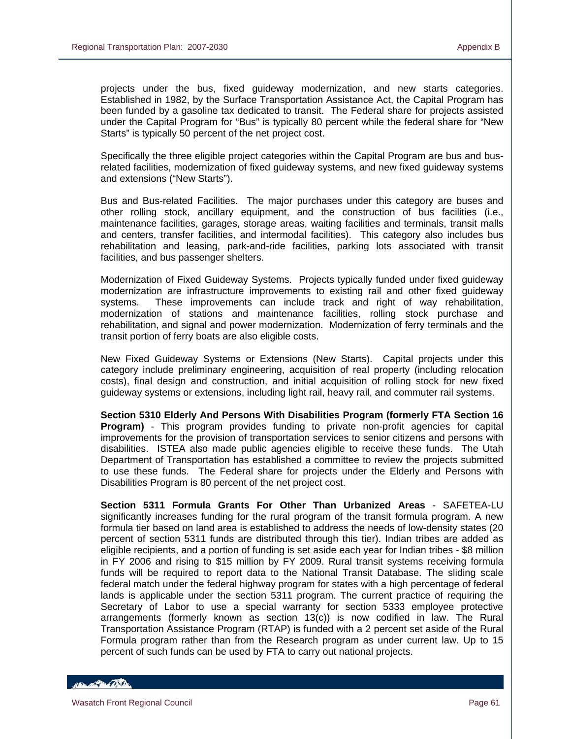projects under the bus, fixed guideway modernization, and new starts categories. Established in 1982, by the Surface Transportation Assistance Act, the Capital Program has been funded by a gasoline tax dedicated to transit. The Federal share for projects assisted under the Capital Program for "Bus" is typically 80 percent while the federal share for "New Starts" is typically 50 percent of the net project cost.

Specifically the three eligible project categories within the Capital Program are bus and busrelated facilities, modernization of fixed guideway systems, and new fixed guideway systems and extensions ("New Starts").

Bus and Bus-related Facilities. The major purchases under this category are buses and other rolling stock, ancillary equipment, and the construction of bus facilities (i.e., maintenance facilities, garages, storage areas, waiting facilities and terminals, transit malls and centers, transfer facilities, and intermodal facilities). This category also includes bus rehabilitation and leasing, park-and-ride facilities, parking lots associated with transit facilities, and bus passenger shelters.

Modernization of Fixed Guideway Systems. Projects typically funded under fixed guideway modernization are infrastructure improvements to existing rail and other fixed guideway systems. These improvements can include track and right of way rehabilitation, modernization of stations and maintenance facilities, rolling stock purchase and rehabilitation, and signal and power modernization. Modernization of ferry terminals and the transit portion of ferry boats are also eligible costs.

New Fixed Guideway Systems or Extensions (New Starts). Capital projects under this category include preliminary engineering, acquisition of real property (including relocation costs), final design and construction, and initial acquisition of rolling stock for new fixed guideway systems or extensions, including light rail, heavy rail, and commuter rail systems.

**Section 5310 Elderly And Persons With Disabilities Program (formerly FTA Section 16 Program)** - This program provides funding to private non-profit agencies for capital improvements for the provision of transportation services to senior citizens and persons with disabilities. ISTEA also made public agencies eligible to receive these funds. The Utah Department of Transportation has established a committee to review the projects submitted to use these funds. The Federal share for projects under the Elderly and Persons with Disabilities Program is 80 percent of the net project cost.

**Section 5311 Formula Grants For Other Than Urbanized Areas** - SAFETEA-LU significantly increases funding for the rural program of the transit formula program. A new formula tier based on land area is established to address the needs of low-density states (20 percent of section 5311 funds are distributed through this tier). Indian tribes are added as eligible recipients, and a portion of funding is set aside each year for Indian tribes - \$8 million in FY 2006 and rising to \$15 million by FY 2009. Rural transit systems receiving formula funds will be required to report data to the National Transit Database. The sliding scale federal match under the federal highway program for states with a high percentage of federal lands is applicable under the section 5311 program. The current practice of requiring the Secretary of Labor to use a special warranty for section 5333 employee protective arrangements (formerly known as section 13(c)) is now codified in law. The Rural Transportation Assistance Program (RTAP) is funded with a 2 percent set aside of the Rural Formula program rather than from the Research program as under current law. Up to 15 percent of such funds can be used by FTA to carry out national projects.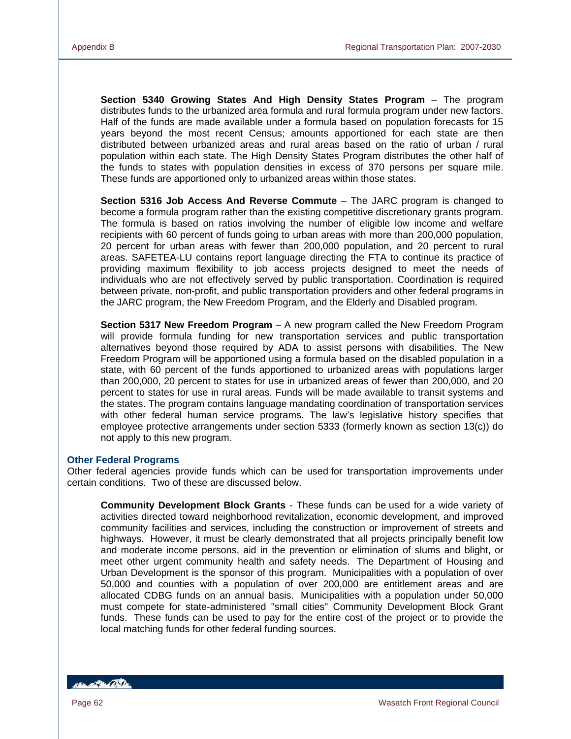**Section 5340 Growing States And High Density States Program** – The program distributes funds to the urbanized area formula and rural formula program under new factors. Half of the funds are made available under a formula based on population forecasts for 15 years beyond the most recent Census; amounts apportioned for each state are then distributed between urbanized areas and rural areas based on the ratio of urban / rural population within each state. The High Density States Program distributes the other half of the funds to states with population densities in excess of 370 persons per square mile. These funds are apportioned only to urbanized areas within those states.

**Section 5316 Job Access And Reverse Commute** – The JARC program is changed to become a formula program rather than the existing competitive discretionary grants program. The formula is based on ratios involving the number of eligible low income and welfare recipients with 60 percent of funds going to urban areas with more than 200,000 population, 20 percent for urban areas with fewer than 200,000 population, and 20 percent to rural areas. SAFETEA-LU contains report language directing the FTA to continue its practice of providing maximum flexibility to job access projects designed to meet the needs of individuals who are not effectively served by public transportation. Coordination is required between private, non-profit, and public transportation providers and other federal programs in the JARC program, the New Freedom Program, and the Elderly and Disabled program.

**Section 5317 New Freedom Program** – A new program called the New Freedom Program will provide formula funding for new transportation services and public transportation alternatives beyond those required by ADA to assist persons with disabilities. The New Freedom Program will be apportioned using a formula based on the disabled population in a state, with 60 percent of the funds apportioned to urbanized areas with populations larger than 200,000, 20 percent to states for use in urbanized areas of fewer than 200,000, and 20 percent to states for use in rural areas. Funds will be made available to transit systems and the states. The program contains language mandating coordination of transportation services with other federal human service programs. The law's legislative history specifies that employee protective arrangements under section 5333 (formerly known as section 13(c)) do not apply to this new program.

#### **Other Federal Programs**

Other federal agencies provide funds which can be used for transportation improvements under certain conditions. Two of these are discussed below.

**Community Development Block Grants** - These funds can be used for a wide variety of activities directed toward neighborhood revitalization, economic development, and improved community facilities and services, including the construction or improvement of streets and highways. However, it must be clearly demonstrated that all projects principally benefit low and moderate income persons, aid in the prevention or elimination of slums and blight, or meet other urgent community health and safety needs. The Department of Housing and Urban Development is the sponsor of this program. Municipalities with a population of over 50,000 and counties with a population of over 200,000 are entitlement areas and are allocated CDBG funds on an annual basis. Municipalities with a population under 50,000 must compete for state-administered "small cities" Community Development Block Grant funds. These funds can be used to pay for the entire cost of the project or to provide the local matching funds for other federal funding sources.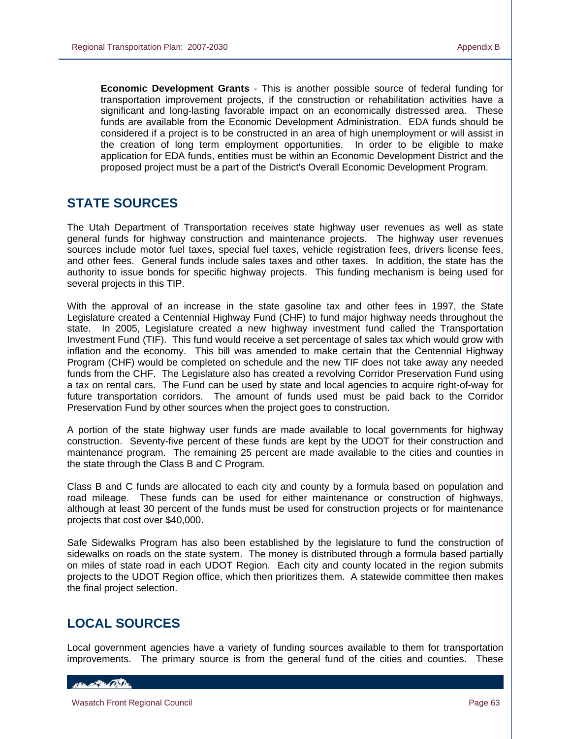**Economic Development Grants** - This is another possible source of federal funding for transportation improvement projects, if the construction or rehabilitation activities have a significant and long-lasting favorable impact on an economically distressed area. These funds are available from the Economic Development Administration. EDA funds should be considered if a project is to be constructed in an area of high unemployment or will assist in the creation of long term employment opportunities. In order to be eligible to make application for EDA funds, entities must be within an Economic Development District and the proposed project must be a part of the District's Overall Economic Development Program.

## **STATE SOURCES**

The Utah Department of Transportation receives state highway user revenues as well as state general funds for highway construction and maintenance projects. The highway user revenues sources include motor fuel taxes, special fuel taxes, vehicle registration fees, drivers license fees, and other fees. General funds include sales taxes and other taxes. In addition, the state has the authority to issue bonds for specific highway projects. This funding mechanism is being used for several projects in this TIP.

With the approval of an increase in the state gasoline tax and other fees in 1997, the State Legislature created a Centennial Highway Fund (CHF) to fund major highway needs throughout the state. In 2005, Legislature created a new highway investment fund called the Transportation Investment Fund (TIF). This fund would receive a set percentage of sales tax which would grow with inflation and the economy. This bill was amended to make certain that the Centennial Highway Program (CHF) would be completed on schedule and the new TIF does not take away any needed funds from the CHF. The Legislature also has created a revolving Corridor Preservation Fund using a tax on rental cars. The Fund can be used by state and local agencies to acquire right-of-way for future transportation corridors. The amount of funds used must be paid back to the Corridor Preservation Fund by other sources when the project goes to construction.

A portion of the state highway user funds are made available to local governments for highway construction. Seventy-five percent of these funds are kept by the UDOT for their construction and maintenance program. The remaining 25 percent are made available to the cities and counties in the state through the Class B and C Program.

Class B and C funds are allocated to each city and county by a formula based on population and road mileage. These funds can be used for either maintenance or construction of highways, although at least 30 percent of the funds must be used for construction projects or for maintenance projects that cost over \$40,000.

Safe Sidewalks Program has also been established by the legislature to fund the construction of sidewalks on roads on the state system. The money is distributed through a formula based partially on miles of state road in each UDOT Region. Each city and county located in the region submits projects to the UDOT Region office, which then prioritizes them. A statewide committee then makes the final project selection.

## **LOCAL SOURCES**

Local government agencies have a variety of funding sources available to them for transportation improvements. The primary source is from the general fund of the cities and counties. These

#### Harry Carl Carter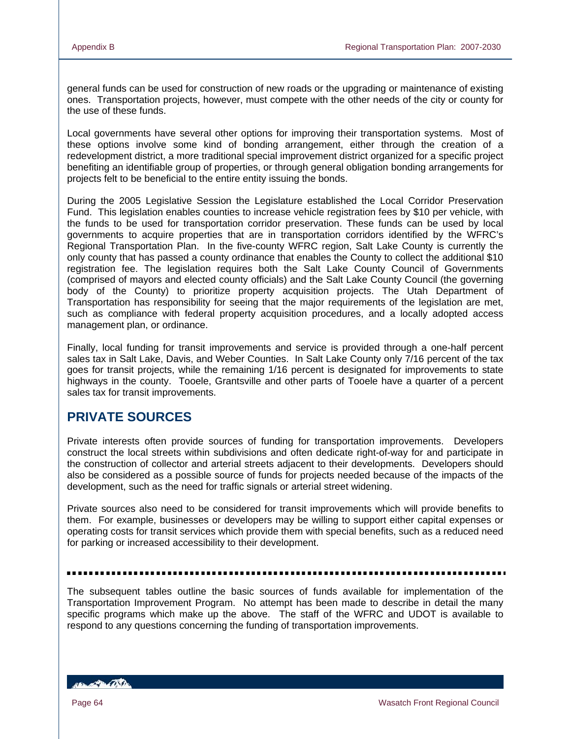general funds can be used for construction of new roads or the upgrading or maintenance of existing ones. Transportation projects, however, must compete with the other needs of the city or county for the use of these funds.

Local governments have several other options for improving their transportation systems. Most of these options involve some kind of bonding arrangement, either through the creation of a redevelopment district, a more traditional special improvement district organized for a specific project benefiting an identifiable group of properties, or through general obligation bonding arrangements for projects felt to be beneficial to the entire entity issuing the bonds.

During the 2005 Legislative Session the Legislature established the Local Corridor Preservation Fund. This legislation enables counties to increase vehicle registration fees by \$10 per vehicle, with the funds to be used for transportation corridor preservation. These funds can be used by local governments to acquire properties that are in transportation corridors identified by the WFRC's Regional Transportation Plan. In the five-county WFRC region, Salt Lake County is currently the only county that has passed a county ordinance that enables the County to collect the additional \$10 registration fee. The legislation requires both the Salt Lake County Council of Governments (comprised of mayors and elected county officials) and the Salt Lake County Council (the governing body of the County) to prioritize property acquisition projects. The Utah Department of Transportation has responsibility for seeing that the major requirements of the legislation are met, such as compliance with federal property acquisition procedures, and a locally adopted access management plan, or ordinance.

Finally, local funding for transit improvements and service is provided through a one-half percent sales tax in Salt Lake, Davis, and Weber Counties. In Salt Lake County only 7/16 percent of the tax goes for transit projects, while the remaining 1/16 percent is designated for improvements to state highways in the county. Tooele, Grantsville and other parts of Tooele have a quarter of a percent sales tax for transit improvements.

## **PRIVATE SOURCES**

Private interests often provide sources of funding for transportation improvements. Developers construct the local streets within subdivisions and often dedicate right-of-way for and participate in the construction of collector and arterial streets adjacent to their developments. Developers should also be considered as a possible source of funds for projects needed because of the impacts of the development, such as the need for traffic signals or arterial street widening.

Private sources also need to be considered for transit improvements which will provide benefits to them. For example, businesses or developers may be willing to support either capital expenses or operating costs for transit services which provide them with special benefits, such as a reduced need for parking or increased accessibility to their development.

The subsequent tables outline the basic sources of funds available for implementation of the Transportation Improvement Program. No attempt has been made to describe in detail the many specific programs which make up the above. The staff of the WFRC and UDOT is available to respond to any questions concerning the funding of transportation improvements.

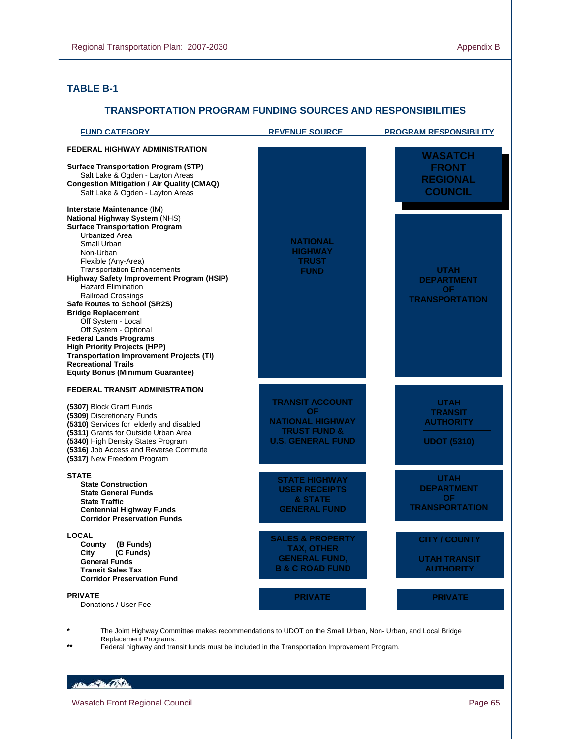### **TABLE B-1**

L

#### **TRANSPORTATION PROGRAM FUNDING SOURCES AND RESPONSIBILITIES**

| <b>FUND CATEGORY</b>                                                                                                                                                                                                                                                                                                                                                                                                                                                                                                                                                                                     | <b>REVENUE SOURCE</b>                                                                                                 | <b>PROGRAM RESPONSIBILITY</b>                                           |
|----------------------------------------------------------------------------------------------------------------------------------------------------------------------------------------------------------------------------------------------------------------------------------------------------------------------------------------------------------------------------------------------------------------------------------------------------------------------------------------------------------------------------------------------------------------------------------------------------------|-----------------------------------------------------------------------------------------------------------------------|-------------------------------------------------------------------------|
| <b>FEDERAL HIGHWAY ADMINISTRATION</b><br><b>Surface Transportation Program (STP)</b><br>Salt Lake & Ogden - Layton Areas<br><b>Congestion Mitigation / Air Quality (CMAQ)</b><br>Salt Lake & Ogden - Layton Areas<br>Interstate Maintenance (IM)                                                                                                                                                                                                                                                                                                                                                         |                                                                                                                       | <b>WASATCH</b><br><b>FRONT</b><br><b>REGIONAL</b><br><b>COUNCIL</b>     |
| National Highway System (NHS)<br><b>Surface Transportation Program</b><br>Urbanized Area<br>Small Urban<br>Non-Urban<br>Flexible (Any-Area)<br><b>Transportation Enhancements</b><br>Highway Safety Improvement Program (HSIP)<br><b>Hazard Elimination</b><br><b>Railroad Crossings</b><br>Safe Routes to School (SR2S)<br><b>Bridge Replacement</b><br>Off System - Local<br>Off System - Optional<br><b>Federal Lands Programs</b><br><b>High Priority Projects (HPP)</b><br><b>Transportation Improvement Projects (TI)</b><br><b>Recreational Trails</b><br><b>Equity Bonus (Minimum Guarantee)</b> | <b>NATIONAL</b><br><b>HIGHWAY</b><br><b>TRUST</b><br><b>FUND</b>                                                      | <b>UTAH</b><br><b>DEPARTMENT</b><br>OF.<br><b>TRANSPORTATION</b>        |
| <b>FEDERAL TRANSIT ADMINISTRATION</b><br>(5307) Block Grant Funds<br>(5309) Discretionary Funds<br>(5310) Services for elderly and disabled<br>(5311) Grants for Outside Urban Area<br>(5340) High Density States Program<br>(5316) Job Access and Reverse Commute<br>(5317) New Freedom Program                                                                                                                                                                                                                                                                                                         | <b>TRANSIT ACCOUNT</b><br><b>OF</b><br><b>NATIONAL HIGHWAY</b><br><b>TRUST FUND &amp;</b><br><b>U.S. GENERAL FUND</b> | <b>UTAH</b><br><b>TRANSIT</b><br><b>AUTHORITY</b><br><b>UDOT (5310)</b> |
| <b>STATE</b><br><b>State Construction</b><br><b>State General Funds</b><br><b>State Traffic</b><br><b>Centennial Highway Funds</b><br><b>Corridor Preservation Funds</b>                                                                                                                                                                                                                                                                                                                                                                                                                                 | <b>STATE HIGHWAY</b><br><b>USER RECEIPTS</b><br>& STATE<br><b>GENERAL FUND</b>                                        | <b>UTAH</b><br><b>DEPARTMENT</b><br>OF.<br><b>TRANSPORTATION</b>        |
| <b>LOCAL</b><br>(B Funds)<br>County<br>City<br>(C Funds)<br><b>General Funds</b><br><b>Transit Sales Tax</b><br><b>Corridor Preservation Fund</b>                                                                                                                                                                                                                                                                                                                                                                                                                                                        | <b>SALES &amp; PROPERTY</b><br><b>TAX, OTHER</b><br><b>GENERAL FUND,</b><br><b>B &amp; C ROAD FUND</b>                | <b>CITY / COUNTY</b><br><b>UTAH TRANSIT</b><br><b>AUTHORITY</b>         |
| <b>PRIVATE</b><br>Donations / User Fee                                                                                                                                                                                                                                                                                                                                                                                                                                                                                                                                                                   | <b>PRIVATE</b>                                                                                                        | <b>PRIVATE</b>                                                          |

**\*** The Joint Highway Committee makes recommendations to UDOT on the Small Urban, Non- Urban, and Local Bridge Replacement Programs.

**\*\*** Federal highway and transit funds must be included in the Transportation Improvement Program.

Handle Chile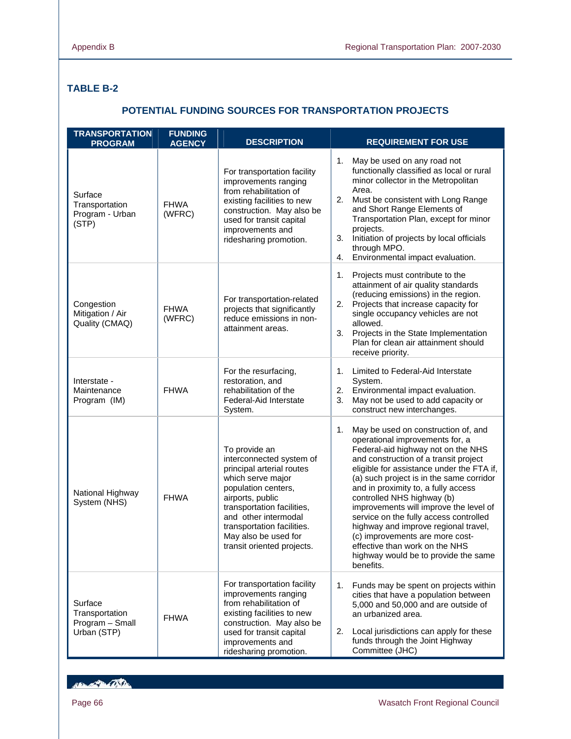## **TABLE B-2**

### **POTENTIAL FUNDING SOURCES FOR TRANSPORTATION PROJECTS**

| <b>TRANSPORTATION</b><br><b>PROGRAM</b>                     | <b>FUNDING</b><br><b>AGENCY</b> | <b>DESCRIPTION</b>                                                                                                                                                                                                                                                               | <b>REQUIREMENT FOR USE</b>                                                                                                                                                                                                                                                                                                                                                                                                                                                                                                                                                      |
|-------------------------------------------------------------|---------------------------------|----------------------------------------------------------------------------------------------------------------------------------------------------------------------------------------------------------------------------------------------------------------------------------|---------------------------------------------------------------------------------------------------------------------------------------------------------------------------------------------------------------------------------------------------------------------------------------------------------------------------------------------------------------------------------------------------------------------------------------------------------------------------------------------------------------------------------------------------------------------------------|
| Surface<br>Transportation<br>Program - Urban<br>(STP)       | <b>FHWA</b><br>(WFRC)           | For transportation facility<br>improvements ranging<br>from rehabilitation of<br>existing facilities to new<br>construction. May also be<br>used for transit capital<br>improvements and<br>ridesharing promotion.                                                               | May be used on any road not<br>1.<br>functionally classified as local or rural<br>minor collector in the Metropolitan<br>Area.<br>Must be consistent with Long Range<br>2.<br>and Short Range Elements of<br>Transportation Plan, except for minor<br>projects.<br>3.<br>Initiation of projects by local officials<br>through MPO.<br>Environmental impact evaluation.<br>4.                                                                                                                                                                                                    |
| Congestion<br>Mitigation / Air<br>Quality (CMAQ)            | <b>FHWA</b><br>(WFRC)           | For transportation-related<br>projects that significantly<br>reduce emissions in non-<br>attainment areas.                                                                                                                                                                       | Projects must contribute to the<br>1.<br>attainment of air quality standards<br>(reducing emissions) in the region.<br>Projects that increase capacity for<br>2.<br>single occupancy vehicles are not<br>allowed.<br>3. Projects in the State Implementation<br>Plan for clean air attainment should<br>receive priority.                                                                                                                                                                                                                                                       |
| Interstate -<br>Maintenance<br>Program (IM)                 | <b>FHWA</b>                     | For the resurfacing,<br>restoration, and<br>rehabilitation of the<br>Federal-Aid Interstate<br>System.                                                                                                                                                                           | Limited to Federal-Aid Interstate<br>1.<br>System.<br>Environmental impact evaluation.<br>2.<br>May not be used to add capacity or<br>3.<br>construct new interchanges.                                                                                                                                                                                                                                                                                                                                                                                                         |
| National Highway<br>System (NHS)                            | <b>FHWA</b>                     | To provide an<br>interconnected system of<br>principal arterial routes<br>which serve major<br>population centers,<br>airports, public<br>transportation facilities,<br>and other intermodal<br>transportation facilities.<br>May also be used for<br>transit oriented projects. | 1.<br>May be used on construction of, and<br>operational improvements for, a<br>Federal-aid highway not on the NHS<br>and construction of a transit project<br>eligible for assistance under the FTA if,<br>(a) such project is in the same corridor<br>and in proximity to, a fully access<br>controlled NHS highway (b)<br>improvements will improve the level of<br>service on the fully access controlled<br>highway and improve regional travel,<br>(c) improvements are more cost-<br>effective than work on the NHS<br>highway would be to provide the same<br>benefits. |
| Surface<br>Transportation<br>Program - Small<br>Urban (STP) | <b>FHWA</b>                     | For transportation facility<br>improvements ranging<br>from rehabilitation of<br>existing facilities to new<br>construction. May also be<br>used for transit capital<br>improvements and<br>ridesharing promotion.                                                               | 1. Funds may be spent on projects within<br>cities that have a population between<br>5,000 and 50,000 and are outside of<br>an urbanized area.<br>Local jurisdictions can apply for these<br>2.<br>funds through the Joint Highway<br>Committee (JHC)                                                                                                                                                                                                                                                                                                                           |

Hampton Children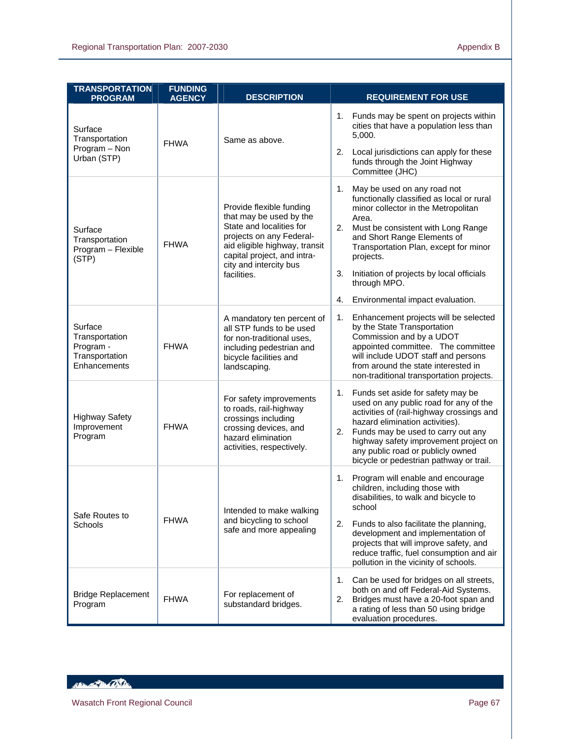| <b>TRANSPORTATION</b><br><b>PROGRAM</b>                                  | <b>FUNDING</b><br><b>AGENCY</b> | <b>DESCRIPTION</b>                                                                                                                                                                                                   | <b>REQUIREMENT FOR USE</b>                                                                                                                                                                                                                                                                                                                                                   |
|--------------------------------------------------------------------------|---------------------------------|----------------------------------------------------------------------------------------------------------------------------------------------------------------------------------------------------------------------|------------------------------------------------------------------------------------------------------------------------------------------------------------------------------------------------------------------------------------------------------------------------------------------------------------------------------------------------------------------------------|
| Surface<br>Transportation<br>Program - Non<br>Urban (STP)                | <b>FHWA</b>                     | Same as above.                                                                                                                                                                                                       | Funds may be spent on projects within<br>1.<br>cities that have a population less than<br>5,000.<br>Local jurisdictions can apply for these<br>2.<br>funds through the Joint Highway<br>Committee (JHC)                                                                                                                                                                      |
| Surface<br>Transportation<br>Program - Flexible<br>(STP)                 | <b>FHWA</b>                     | Provide flexible funding<br>that may be used by the<br>State and localities for<br>projects on any Federal-<br>aid eligible highway, transit<br>capital project, and intra-<br>city and intercity bus<br>facilities. | 1.<br>May be used on any road not<br>functionally classified as local or rural<br>minor collector in the Metropolitan<br>Area.<br>Must be consistent with Long Range<br>2.<br>and Short Range Elements of<br>Transportation Plan, except for minor<br>projects.<br>Initiation of projects by local officials<br>3.<br>through MPO.<br>Environmental impact evaluation.<br>4. |
| Surface<br>Transportation<br>Program -<br>Transportation<br>Enhancements | <b>FHWA</b>                     | A mandatory ten percent of<br>all STP funds to be used<br>for non-traditional uses,<br>including pedestrian and<br>bicycle facilities and<br>landscaping.                                                            | 1.<br>Enhancement projects will be selected<br>by the State Transportation<br>Commission and by a UDOT<br>appointed committee. The committee<br>will include UDOT staff and persons<br>from around the state interested in<br>non-traditional transportation projects.                                                                                                       |
| <b>Highway Safety</b><br>Improvement<br>Program                          | <b>FHWA</b>                     | For safety improvements<br>to roads, rail-highway<br>crossings including<br>crossing devices, and<br>hazard elimination<br>activities, respectively.                                                                 | Funds set aside for safety may be<br>1.<br>used on any public road for any of the<br>activities of (rail-highway crossings and<br>hazard elimination activities).<br>Funds may be used to carry out any<br>2.<br>highway safety improvement project on<br>any public road or publicly owned<br>bicycle or pedestrian pathway or trail.                                       |
| Safe Routes to<br>Schools                                                | <b>FHWA</b>                     | Intended to make walking<br>and bicycling to school<br>safe and more appealing                                                                                                                                       | Program will enable and encourage<br>1.<br>children, including those with<br>disabilities, to walk and bicycle to<br>school<br>2.<br>Funds to also facilitate the planning,<br>development and implementation of<br>projects that will improve safety, and<br>reduce traffic, fuel consumption and air<br>pollution in the vicinity of schools.                              |
| <b>Bridge Replacement</b><br>Program                                     | <b>FHWA</b>                     | For replacement of<br>substandard bridges.                                                                                                                                                                           | 1.<br>Can be used for bridges on all streets,<br>both on and off Federal-Aid Systems.<br>Bridges must have a 20-foot span and<br>2.<br>a rating of less than 50 using bridge<br>evaluation procedures.                                                                                                                                                                       |

HELEN TO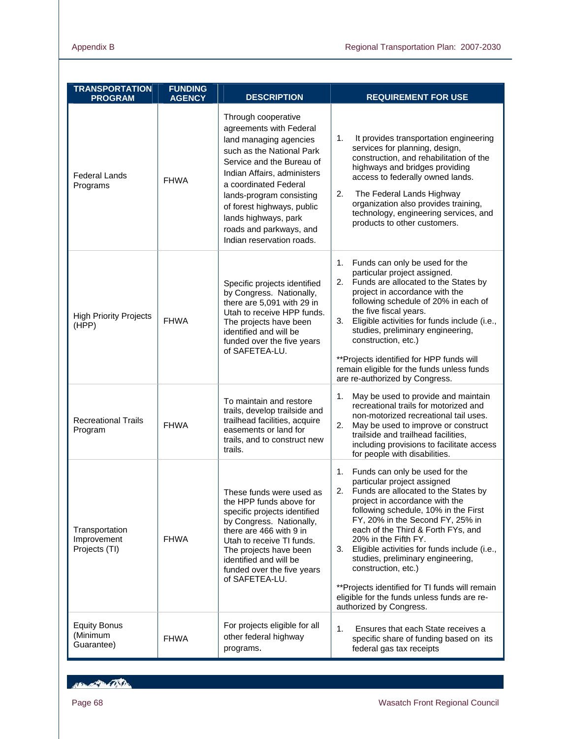| <b>TRANSPORTATION</b><br><b>PROGRAM</b>        | <b>FUNDING</b><br><b>AGENCY</b> | <b>DESCRIPTION</b>                                                                                                                                                                                                                                                                                                                   | <b>REQUIREMENT FOR USE</b>                                                                                                                                                                                                                                                                                                                                                                                                                                                                                                            |
|------------------------------------------------|---------------------------------|--------------------------------------------------------------------------------------------------------------------------------------------------------------------------------------------------------------------------------------------------------------------------------------------------------------------------------------|---------------------------------------------------------------------------------------------------------------------------------------------------------------------------------------------------------------------------------------------------------------------------------------------------------------------------------------------------------------------------------------------------------------------------------------------------------------------------------------------------------------------------------------|
| <b>Federal Lands</b><br>Programs               | <b>FHWA</b>                     | Through cooperative<br>agreements with Federal<br>land managing agencies<br>such as the National Park<br>Service and the Bureau of<br>Indian Affairs, administers<br>a coordinated Federal<br>lands-program consisting<br>of forest highways, public<br>lands highways, park<br>roads and parkways, and<br>Indian reservation roads. | It provides transportation engineering<br>1.<br>services for planning, design,<br>construction, and rehabilitation of the<br>highways and bridges providing<br>access to federally owned lands.<br>2.<br>The Federal Lands Highway<br>organization also provides training,<br>technology, engineering services, and<br>products to other customers.                                                                                                                                                                                   |
| <b>High Priority Projects</b><br>(HPP)         | <b>FHWA</b>                     | Specific projects identified<br>by Congress. Nationally,<br>there are 5,091 with 29 in<br>Utah to receive HPP funds.<br>The projects have been<br>identified and will be<br>funded over the five years<br>of SAFETEA-LU.                                                                                                             | Funds can only be used for the<br>1.<br>particular project assigned.<br>Funds are allocated to the States by<br>2.<br>project in accordance with the<br>following schedule of 20% in each of<br>the five fiscal years.<br>Eligible activities for funds include (i.e.,<br>3.<br>studies, preliminary engineering,<br>construction, etc.)<br>**Projects identified for HPP funds will<br>remain eligible for the funds unless funds<br>are re-authorized by Congress.                                                                  |
| <b>Recreational Trails</b><br>Program          | <b>FHWA</b>                     | To maintain and restore<br>trails, develop trailside and<br>trailhead facilities, acquire<br>easements or land for<br>trails, and to construct new<br>trails.                                                                                                                                                                        | May be used to provide and maintain<br>1.<br>recreational trails for motorized and<br>non-motorized recreational tail uses.<br>2.<br>May be used to improve or construct<br>trailside and trailhead facilities,<br>including provisions to facilitate access<br>for people with disabilities.                                                                                                                                                                                                                                         |
| Transportation<br>Improvement<br>Projects (TI) | <b>FHWA</b>                     | These funds were used as<br>the HPP funds above for<br>specific projects identified<br>by Congress. Nationally,<br>there are 466 with 9 in<br>Utah to receive TI funds.<br>The projects have been<br>identified and will be<br>funded over the five years<br>of SAFETEA-LU.                                                          | 1. Funds can only be used for the<br>particular project assigned<br>2. Funds are allocated to the States by<br>project in accordance with the<br>following schedule, 10% in the First<br>FY, 20% in the Second FY, 25% in<br>each of the Third & Forth FYs, and<br>20% in the Fifth FY.<br>Eligible activities for funds include (i.e.,<br>3.<br>studies, preliminary engineering,<br>construction, etc.)<br>**Projects identified for TI funds will remain<br>eligible for the funds unless funds are re-<br>authorized by Congress. |
| <b>Equity Bonus</b><br>(Minimum<br>Guarantee)  | <b>FHWA</b>                     | For projects eligible for all<br>other federal highway<br>programs.                                                                                                                                                                                                                                                                  | 1.<br>Ensures that each State receives a<br>specific share of funding based on its<br>federal gas tax receipts                                                                                                                                                                                                                                                                                                                                                                                                                        |

Non-20-050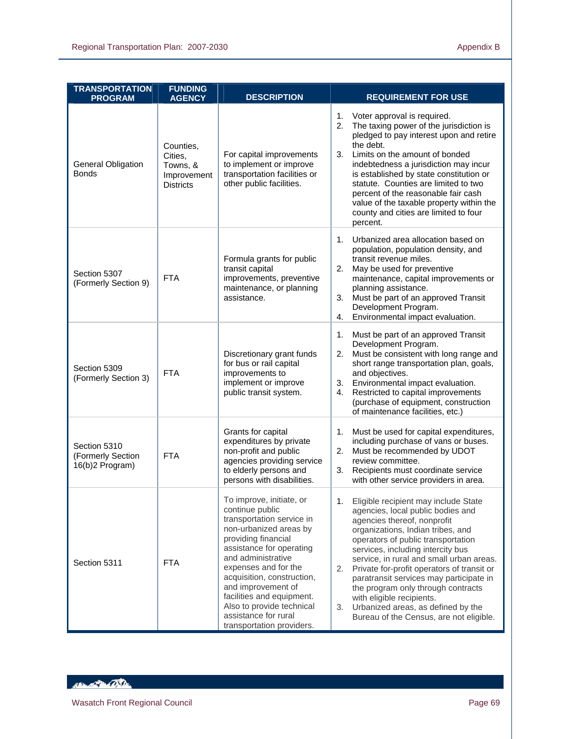| <b>TRANSPORTATION</b><br><b>PROGRAM</b>              | <b>FUNDING</b><br><b>AGENCY</b>                                     | <b>DESCRIPTION</b>                                                                                                                                                                                                                                                                                                                                                     | <b>REQUIREMENT FOR USE</b>                                                                                                                                                                                                                                                                                                                                                                                                                                                                                                          |
|------------------------------------------------------|---------------------------------------------------------------------|------------------------------------------------------------------------------------------------------------------------------------------------------------------------------------------------------------------------------------------------------------------------------------------------------------------------------------------------------------------------|-------------------------------------------------------------------------------------------------------------------------------------------------------------------------------------------------------------------------------------------------------------------------------------------------------------------------------------------------------------------------------------------------------------------------------------------------------------------------------------------------------------------------------------|
| <b>General Obligation</b><br><b>Bonds</b>            | Counties,<br>Cities,<br>Towns, &<br>Improvement<br><b>Districts</b> | For capital improvements<br>to implement or improve<br>transportation facilities or<br>other public facilities.                                                                                                                                                                                                                                                        | Voter approval is required.<br>1.<br>The taxing power of the jurisdiction is<br>2.<br>pledged to pay interest upon and retire<br>the debt.<br>Limits on the amount of bonded<br>3.<br>indebtedness a jurisdiction may incur<br>is established by state constitution or<br>statute. Counties are limited to two<br>percent of the reasonable fair cash<br>value of the taxable property within the<br>county and cities are limited to four<br>percent.                                                                              |
| Section 5307<br>(Formerly Section 9)                 | <b>FTA</b>                                                          | Formula grants for public<br>transit capital<br>improvements, preventive<br>maintenance, or planning<br>assistance.                                                                                                                                                                                                                                                    | Urbanized area allocation based on<br>$1_{\cdot}$<br>population, population density, and<br>transit revenue miles.<br>2.<br>May be used for preventive<br>maintenance, capital improvements or<br>planning assistance.<br>3.<br>Must be part of an approved Transit<br>Development Program.<br>Environmental impact evaluation.<br>4.                                                                                                                                                                                               |
| Section 5309<br>(Formerly Section 3)                 | <b>FTA</b>                                                          | Discretionary grant funds<br>for bus or rail capital<br>improvements to<br>implement or improve<br>public transit system.                                                                                                                                                                                                                                              | Must be part of an approved Transit<br>1.<br>Development Program.<br>Must be consistent with long range and<br>2.<br>short range transportation plan, goals,<br>and objectives.<br>Environmental impact evaluation.<br>3.<br>Restricted to capital improvements<br>4.<br>(purchase of equipment, construction<br>of maintenance facilities, etc.)                                                                                                                                                                                   |
| Section 5310<br>(Formerly Section<br>16(b)2 Program) | <b>FTA</b>                                                          | Grants for capital<br>expenditures by private<br>non-profit and public<br>agencies providing service<br>to elderly persons and<br>persons with disabilities.                                                                                                                                                                                                           | Must be used for capital expenditures,<br>1.<br>including purchase of vans or buses.<br>Must be recommended by UDOT<br>2.<br>review committee.<br>Recipients must coordinate service<br>3.<br>with other service providers in area.                                                                                                                                                                                                                                                                                                 |
| Section 5311                                         | <b>FTA</b>                                                          | To improve, initiate, or<br>continue public<br>transportation service in<br>non-urbanized areas by<br>providing financial<br>assistance for operating<br>and administrative<br>expenses and for the<br>acquisition, construction,<br>and improvement of<br>facilities and equipment.<br>Also to provide technical<br>assistance for rural<br>transportation providers. | 1.<br>Eligible recipient may include State<br>agencies, local public bodies and<br>agencies thereof, nonprofit<br>organizations, Indian tribes, and<br>operators of public transportation<br>services, including intercity bus<br>service, in rural and small urban areas.<br>2.<br>Private for-profit operators of transit or<br>paratransit services may participate in<br>the program only through contracts<br>with eligible recipients.<br>Urbanized areas, as defined by the<br>3.<br>Bureau of the Census, are not eligible. |

HELL OF BEAT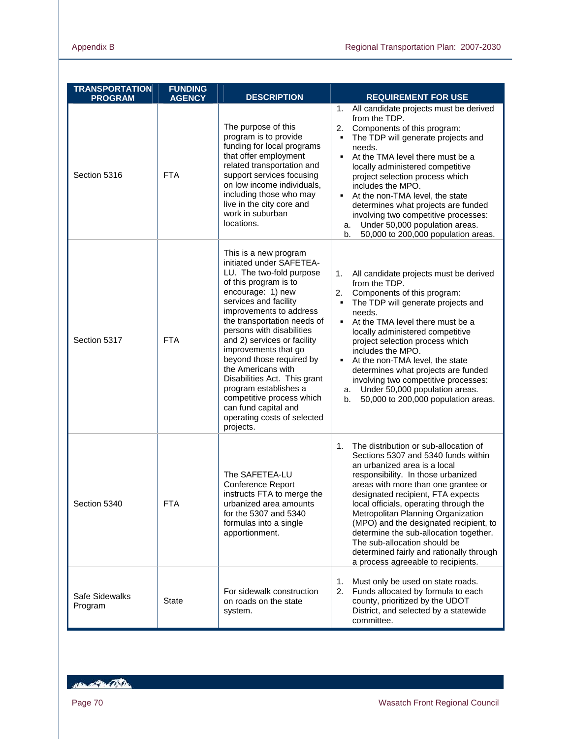| <b>TRANSPORTATION</b><br><b>PROGRAM</b> | <b>FUNDING</b><br><b>AGENCY</b> | <b>DESCRIPTION</b>                                                                                                                                                                                                                                                                                                                                                                                                                                                                                             | <b>REQUIREMENT FOR USE</b>                                                                                                                                                                                                                                                                                                                                                                                                                                                                                                    |
|-----------------------------------------|---------------------------------|----------------------------------------------------------------------------------------------------------------------------------------------------------------------------------------------------------------------------------------------------------------------------------------------------------------------------------------------------------------------------------------------------------------------------------------------------------------------------------------------------------------|-------------------------------------------------------------------------------------------------------------------------------------------------------------------------------------------------------------------------------------------------------------------------------------------------------------------------------------------------------------------------------------------------------------------------------------------------------------------------------------------------------------------------------|
| Section 5316                            | <b>FTA</b>                      | The purpose of this<br>program is to provide<br>funding for local programs<br>that offer employment<br>related transportation and<br>support services focusing<br>on low income individuals,<br>including those who may<br>live in the city core and<br>work in suburban<br>locations.                                                                                                                                                                                                                         | All candidate projects must be derived<br>1.<br>from the TDP.<br>Components of this program:<br>2.<br>The TDP will generate projects and<br>$\blacksquare$<br>needs.<br>At the TMA level there must be a<br>$\blacksquare$<br>locally administered competitive<br>project selection process which<br>includes the MPO.<br>At the non-TMA level, the state<br>determines what projects are funded<br>involving two competitive processes:<br>Under 50,000 population areas.<br>a.<br>50,000 to 200,000 population areas.<br>b. |
| Section 5317                            | <b>FTA</b>                      | This is a new program<br>initiated under SAFETEA-<br>LU. The two-fold purpose<br>of this program is to<br>encourage: 1) new<br>services and facility<br>improvements to address<br>the transportation needs of<br>persons with disabilities<br>and 2) services or facility<br>improvements that go<br>beyond those required by<br>the Americans with<br>Disabilities Act. This grant<br>program establishes a<br>competitive process which<br>can fund capital and<br>operating costs of selected<br>projects. | All candidate projects must be derived<br>1.<br>from the TDP.<br>2.<br>Components of this program:<br>The TDP will generate projects and<br>$\blacksquare$<br>needs.<br>At the TMA level there must be a<br>$\blacksquare$<br>locally administered competitive<br>project selection process which<br>includes the MPO.<br>At the non-TMA level, the state<br>determines what projects are funded<br>involving two competitive processes:<br>Under 50,000 population areas.<br>a.<br>50,000 to 200,000 population areas.<br>b. |
| Section 5340                            | FIA                             | The SAFETEA-LU<br>Conference Report<br>instructs FTA to merge the<br>urbanized area amounts<br>for the 5307 and 5340<br>formulas into a single<br>apportionment.                                                                                                                                                                                                                                                                                                                                               | The distribution or sub-allocation of<br>1.<br>Sections 5307 and 5340 funds within<br>an urbanized area is a local<br>responsibility. In those urbanized<br>areas with more than one grantee or<br>designated recipient, FTA expects<br>local officials, operating through the<br>Metropolitan Planning Organization<br>(MPO) and the designated recipient, to<br>determine the sub-allocation together.<br>The sub-allocation should be<br>determined fairly and rationally through<br>a process agreeable to recipients.    |
| Safe Sidewalks<br>Program               | State                           | For sidewalk construction<br>on roads on the state<br>system.                                                                                                                                                                                                                                                                                                                                                                                                                                                  | Must only be used on state roads.<br>1.<br>2.<br>Funds allocated by formula to each<br>county, prioritized by the UDOT<br>District, and selected by a statewide<br>committee.                                                                                                                                                                                                                                                                                                                                                 |

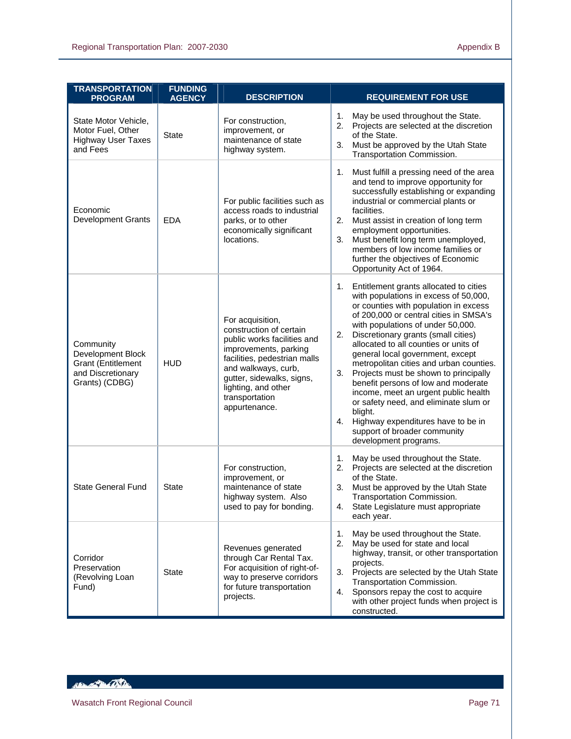| <b>TRANSPORTATION</b><br><b>PROGRAM</b>                                                            | <b>FUNDING</b><br><b>AGENCY</b> | <b>DESCRIPTION</b>                                                                                                                                                                                                                                | <b>REQUIREMENT FOR USE</b>                                                                                                                                                                                                                                                                                                                                                                                                                                                                                                                                                                                                                                                |
|----------------------------------------------------------------------------------------------------|---------------------------------|---------------------------------------------------------------------------------------------------------------------------------------------------------------------------------------------------------------------------------------------------|---------------------------------------------------------------------------------------------------------------------------------------------------------------------------------------------------------------------------------------------------------------------------------------------------------------------------------------------------------------------------------------------------------------------------------------------------------------------------------------------------------------------------------------------------------------------------------------------------------------------------------------------------------------------------|
| State Motor Vehicle,<br>Motor Fuel, Other<br><b>Highway User Taxes</b><br>and Fees                 | <b>State</b>                    | For construction,<br>improvement, or<br>maintenance of state<br>highway system.                                                                                                                                                                   | 1.<br>May be used throughout the State.<br>Projects are selected at the discretion<br>2.<br>of the State.<br>3.<br>Must be approved by the Utah State<br>Transportation Commission.                                                                                                                                                                                                                                                                                                                                                                                                                                                                                       |
| Economic<br><b>Development Grants</b>                                                              | <b>EDA</b>                      | For public facilities such as<br>access roads to industrial<br>parks, or to other<br>economically significant<br>locations.                                                                                                                       | Must fulfill a pressing need of the area<br>1.<br>and tend to improve opportunity for<br>successfully establishing or expanding<br>industrial or commercial plants or<br>facilities.<br>2.<br>Must assist in creation of long term<br>employment opportunities.<br>Must benefit long term unemployed,<br>3.<br>members of low income families or<br>further the objectives of Economic<br>Opportunity Act of 1964.                                                                                                                                                                                                                                                        |
| Community<br>Development Block<br><b>Grant (Entitlement</b><br>and Discretionary<br>Grants) (CDBG) | <b>HUD</b>                      | For acquisition,<br>construction of certain<br>public works facilities and<br>improvements, parking<br>facilities, pedestrian malls<br>and walkways, curb,<br>gutter, sidewalks, signs,<br>lighting, and other<br>transportation<br>appurtenance. | Entitlement grants allocated to cities<br>1.<br>with populations in excess of 50,000,<br>or counties with population in excess<br>of 200,000 or central cities in SMSA's<br>with populations of under 50,000.<br>Discretionary grants (small cities)<br>2.<br>allocated to all counties or units of<br>general local government, except<br>metropolitan cities and urban counties.<br>3.<br>Projects must be shown to principally<br>benefit persons of low and moderate<br>income, meet an urgent public health<br>or safety need, and eliminate slum or<br>blight.<br>Highway expenditures have to be in<br>4.<br>support of broader community<br>development programs. |
| <b>State General Fund</b>                                                                          | <b>State</b>                    | For construction,<br>improvement, or<br>maintenance of state<br>highway system. Also<br>used to pay for bonding.                                                                                                                                  | 1.<br>May be used throughout the State.<br>2.<br>Projects are selected at the discretion<br>of the State.<br>Must be approved by the Utah State<br>3.<br>Transportation Commission.<br>State Legislature must appropriate<br>4.<br>each year.                                                                                                                                                                                                                                                                                                                                                                                                                             |
| Corridor<br>Preservation<br>(Revolving Loan<br>Fund)                                               | <b>State</b>                    | Revenues generated<br>through Car Rental Tax.<br>For acquisition of right-of-<br>way to preserve corridors<br>for future transportation<br>projects.                                                                                              | 1.<br>May be used throughout the State.<br>May be used for state and local<br>2.<br>highway, transit, or other transportation<br>projects.<br>Projects are selected by the Utah State<br>3.<br>Transportation Commission.<br>Sponsors repay the cost to acquire<br>4.<br>with other project funds when project is<br>constructed.                                                                                                                                                                                                                                                                                                                                         |

HELEN TO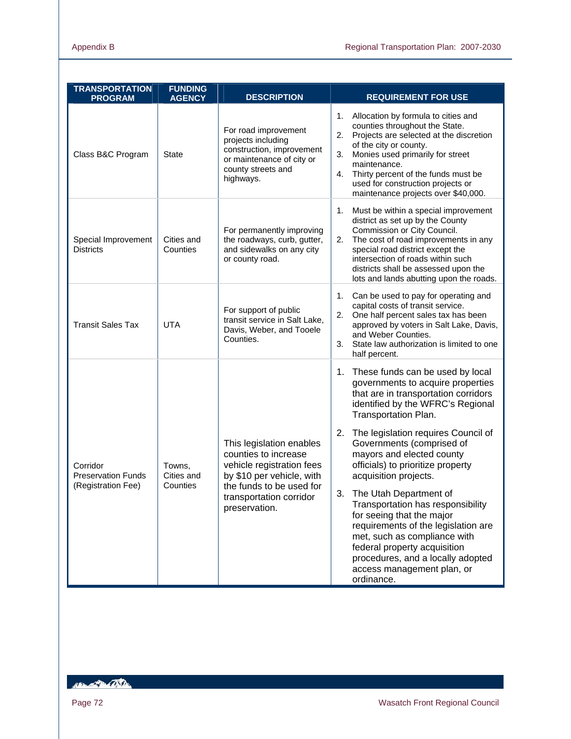| <b>TRANSPORTATION</b><br><b>PROGRAM</b>                     | <b>FUNDING</b><br><b>AGENCY</b>  | <b>DESCRIPTION</b>                                                                                                                                                                 | <b>REQUIREMENT FOR USE</b>                                                                                                                                                                                                                                                                                                                                                                                                                                                                                                                                                                                                                   |
|-------------------------------------------------------------|----------------------------------|------------------------------------------------------------------------------------------------------------------------------------------------------------------------------------|----------------------------------------------------------------------------------------------------------------------------------------------------------------------------------------------------------------------------------------------------------------------------------------------------------------------------------------------------------------------------------------------------------------------------------------------------------------------------------------------------------------------------------------------------------------------------------------------------------------------------------------------|
| Class B&C Program                                           | State                            | For road improvement<br>projects including<br>construction, improvement<br>or maintenance of city or<br>county streets and<br>highways.                                            | Allocation by formula to cities and<br>1.<br>counties throughout the State.<br>2.<br>Projects are selected at the discretion<br>of the city or county.<br>3.<br>Monies used primarily for street<br>maintenance.<br>Thirty percent of the funds must be<br>4.<br>used for construction projects or<br>maintenance projects over \$40,000.                                                                                                                                                                                                                                                                                                    |
| Special Improvement<br><b>Districts</b>                     | Cities and<br>Counties           | For permanently improving<br>the roadways, curb, gutter,<br>and sidewalks on any city<br>or county road.                                                                           | Must be within a special improvement<br>1.<br>district as set up by the County<br>Commission or City Council.<br>2.<br>The cost of road improvements in any<br>special road district except the<br>intersection of roads within such<br>districts shall be assessed upon the<br>lots and lands abutting upon the roads.                                                                                                                                                                                                                                                                                                                      |
| <b>Transit Sales Tax</b>                                    | <b>UTA</b>                       | For support of public<br>transit service in Salt Lake,<br>Davis, Weber, and Tooele<br>Counties.                                                                                    | Can be used to pay for operating and<br>1.<br>capital costs of transit service.<br>2.<br>One half percent sales tax has been<br>approved by voters in Salt Lake, Davis,<br>and Weber Counties.<br>3.<br>State law authorization is limited to one<br>half percent.                                                                                                                                                                                                                                                                                                                                                                           |
| Corridor<br><b>Preservation Funds</b><br>(Registration Fee) | Towns,<br>Cities and<br>Counties | This legislation enables<br>counties to increase<br>vehicle registration fees<br>by \$10 per vehicle, with<br>the funds to be used for<br>transportation corridor<br>preservation. | 1. These funds can be used by local<br>governments to acquire properties<br>that are in transportation corridors<br>identified by the WFRC's Regional<br>Transportation Plan.<br>2.<br>The legislation requires Council of<br>Governments (comprised of<br>mayors and elected county<br>officials) to prioritize property<br>acquisition projects.<br>3.<br>The Utah Department of<br>Transportation has responsibility<br>for seeing that the major<br>requirements of the legislation are<br>met, such as compliance with<br>federal property acquisition<br>procedures, and a locally adopted<br>access management plan, or<br>ordinance. |

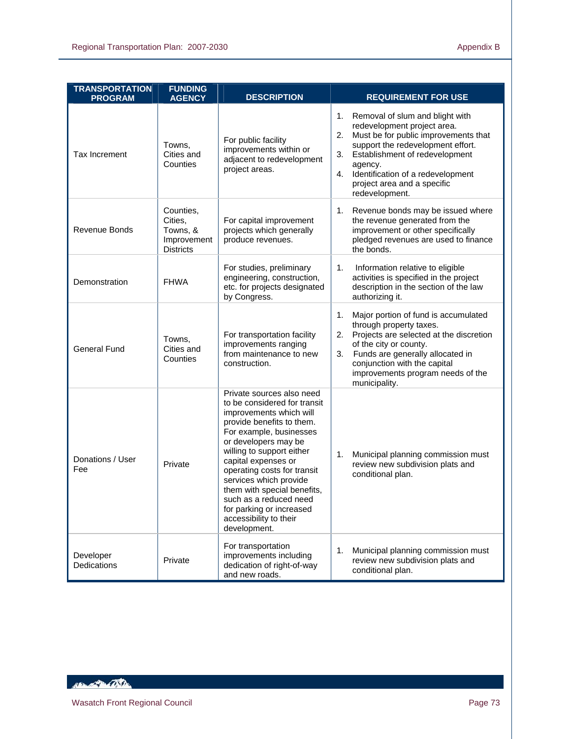| <b>TRANSPORTATION</b><br><b>PROGRAM</b> | <b>FUNDING</b><br><b>AGENCY</b>                                     | <b>DESCRIPTION</b>                                                                                                                                                                                                                                                                                                                                                                                               | <b>REQUIREMENT FOR USE</b>                                                                                                                                                                                                                                                                             |
|-----------------------------------------|---------------------------------------------------------------------|------------------------------------------------------------------------------------------------------------------------------------------------------------------------------------------------------------------------------------------------------------------------------------------------------------------------------------------------------------------------------------------------------------------|--------------------------------------------------------------------------------------------------------------------------------------------------------------------------------------------------------------------------------------------------------------------------------------------------------|
| <b>Tax Increment</b>                    | Towns,<br>Cities and<br>Counties                                    | For public facility<br>improvements within or<br>adjacent to redevelopment<br>project areas.                                                                                                                                                                                                                                                                                                                     | 1.<br>Removal of slum and blight with<br>redevelopment project area.<br>Must be for public improvements that<br>2.<br>support the redevelopment effort.<br>Establishment of redevelopment<br>3.<br>agency.<br>Identification of a redevelopment<br>4.<br>project area and a specific<br>redevelopment. |
| <b>Revenue Bonds</b>                    | Counties,<br>Cities,<br>Towns, &<br>Improvement<br><b>Districts</b> | For capital improvement<br>projects which generally<br>produce revenues.                                                                                                                                                                                                                                                                                                                                         | Revenue bonds may be issued where<br>1.<br>the revenue generated from the<br>improvement or other specifically<br>pledged revenues are used to finance<br>the bonds.                                                                                                                                   |
| Demonstration                           | <b>FHWA</b>                                                         | For studies, preliminary<br>engineering, construction,<br>etc. for projects designated<br>by Congress.                                                                                                                                                                                                                                                                                                           | 1.<br>Information relative to eligible<br>activities is specified in the project<br>description in the section of the law<br>authorizing it.                                                                                                                                                           |
| <b>General Fund</b>                     | Towns,<br>Cities and<br>Counties                                    | For transportation facility<br>improvements ranging<br>from maintenance to new<br>construction.                                                                                                                                                                                                                                                                                                                  | 1.<br>Major portion of fund is accumulated<br>through property taxes.<br>Projects are selected at the discretion<br>2.<br>of the city or county.<br>Funds are generally allocated in<br>3.<br>conjunction with the capital<br>improvements program needs of the<br>municipality.                       |
| Donations / User<br>Fee                 | Private                                                             | Private sources also need<br>to be considered for transit<br>improvements which will<br>provide benefits to them.<br>For example, businesses<br>or developers may be<br>willing to support either<br>capital expenses or<br>operating costs for transit<br>services which provide<br>them with special benefits,<br>such as a reduced need<br>for parking or increased<br>accessibility to their<br>development. | Municipal planning commission must<br>1.<br>review new subdivision plats and<br>conditional plan.                                                                                                                                                                                                      |
| Developer<br>Dedications                | Private                                                             | For transportation<br>improvements including<br>dedication of right-of-way<br>and new roads.                                                                                                                                                                                                                                                                                                                     | Municipal planning commission must<br>1.<br>review new subdivision plats and<br>conditional plan.                                                                                                                                                                                                      |

HELEN TO